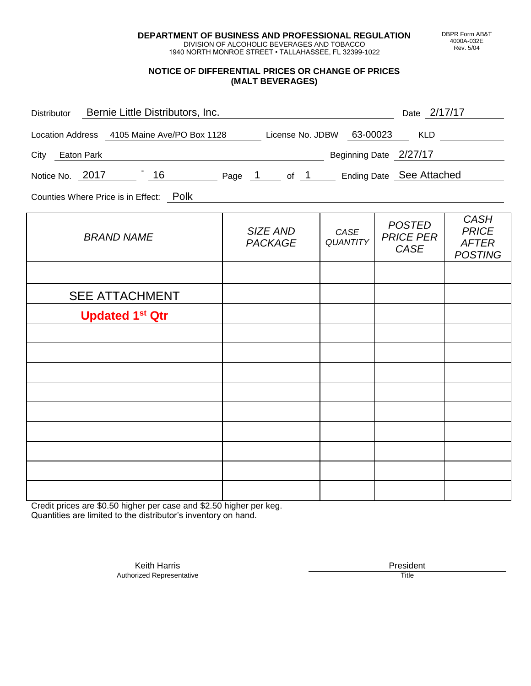**DEPARTMENT OF BUSINESS AND PROFESSIONAL REGULATION** DIVISION OF ALCOHOLIC BEVERAGES AND TOBACCO

1940 NORTH MONROE STREET • TALLAHASSEE, FL 32399-1022

## **NOTICE OF DIFFERENTIAL PRICES OR CHANGE OF PRICES (MALT BEVERAGES)**

| Distributor Bernie Little Distributors, Inc. |                         |                                                  |                                                                                                                                                                                 |
|----------------------------------------------|-------------------------|--------------------------------------------------|---------------------------------------------------------------------------------------------------------------------------------------------------------------------------------|
|                                              |                         |                                                  |                                                                                                                                                                                 |
|                                              |                         |                                                  |                                                                                                                                                                                 |
|                                              |                         |                                                  |                                                                                                                                                                                 |
|                                              |                         |                                                  |                                                                                                                                                                                 |
| SIZE AND<br><b>PACKAGE</b>                   | CASE<br><b>QUANTITY</b> | <b>POSTED</b><br><b>PRICE PER</b><br><b>CASE</b> | <b>CASH</b><br><b>PRICE</b><br><b>AFTER</b><br><b>POSTING</b>                                                                                                                   |
|                                              |                         |                                                  |                                                                                                                                                                                 |
|                                              |                         |                                                  |                                                                                                                                                                                 |
|                                              |                         |                                                  |                                                                                                                                                                                 |
|                                              |                         |                                                  |                                                                                                                                                                                 |
|                                              |                         |                                                  |                                                                                                                                                                                 |
|                                              |                         |                                                  |                                                                                                                                                                                 |
|                                              |                         |                                                  |                                                                                                                                                                                 |
|                                              |                         |                                                  |                                                                                                                                                                                 |
|                                              |                         |                                                  |                                                                                                                                                                                 |
|                                              |                         |                                                  |                                                                                                                                                                                 |
|                                              |                         |                                                  |                                                                                                                                                                                 |
|                                              |                         |                                                  | Date 2/17/17<br>Location Address 4105 Maine Ave/PO Box 1128 License No. JDBW 63-00023 KLD<br>Eleginning Date 2/27/17<br>Notice No. 2017 16 Page 1 of 1 Ending Date See Attached |

Credit prices are \$0.50 higher per case and \$2.50 higher per keg. Quantities are limited to the distributor's inventory on hand.

> Keith Harris **President** President **President** President **President** President **President** Authorized Representative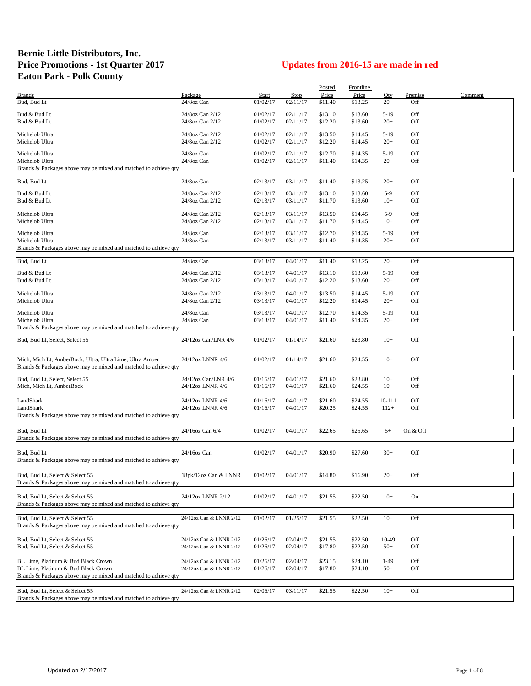## **Bernie Little Distributors, Inc. Price Promotions - 1st Quarter 2017 Updates from 2016-15 are made in red Eaton Park - Polk County**

|                                                                                                                             |                                                    |          |                      | Posted  | Frontline |                 |            |         |
|-----------------------------------------------------------------------------------------------------------------------------|----------------------------------------------------|----------|----------------------|---------|-----------|-----------------|------------|---------|
| <b>Brands</b>                                                                                                               | Package                                            | Start    | Stop                 | Price   | Price     | Oty             | Premise    | Comment |
| Bud, Bud Lt                                                                                                                 | 24/8oz Can                                         | 01/02/17 | 02/11/17             | \$11.40 | \$13.25   | $20+$           | Off        |         |
| Bud & Bud Lt                                                                                                                | 24/8oz Can 2/12                                    | 01/02/17 | 02/11/17             | \$13.10 | \$13.60   | $5-19$          | Off        |         |
| Bud & Bud Lt                                                                                                                | 24/8oz Can 2/12                                    | 01/02/17 | 02/11/17             | \$12.20 | \$13.60   | $20+$           | Off        |         |
|                                                                                                                             |                                                    |          |                      |         |           |                 |            |         |
| Michelob Ultra                                                                                                              | 24/8oz Can 2/12                                    | 01/02/17 | 02/11/17<br>02/11/17 | \$13.50 | \$14.45   | $5-19$<br>$20+$ | Off<br>Off |         |
| Michelob Ultra                                                                                                              | 24/8oz Can 2/12                                    | 01/02/17 |                      | \$12.20 | \$14.45   |                 |            |         |
| Michelob Ultra                                                                                                              | 24/8oz Can                                         | 01/02/17 | 02/11/17             | \$12.70 | \$14.35   | $5-19$          | Off        |         |
| Michelob Ultra                                                                                                              | 24/8oz Can                                         | 01/02/17 | 02/11/17             | \$11.40 | \$14.35   | $20+$           | Off        |         |
| Brands & Packages above may be mixed and matched to achieve qty                                                             |                                                    |          |                      |         |           |                 |            |         |
| Bud, Bud Lt                                                                                                                 | 24/8oz Can                                         | 02/13/17 | 03/11/17             | \$11.40 | \$13.25   | $20+$           | Off        |         |
|                                                                                                                             |                                                    |          |                      |         |           |                 |            |         |
| Bud & Bud Lt                                                                                                                | 24/8oz Can 2/12                                    | 02/13/17 | 03/11/17             | \$13.10 | \$13.60   | $5-9$           | Off        |         |
| Bud & Bud Lt                                                                                                                | 24/8oz Can 2/12                                    | 02/13/17 | 03/11/17             | \$11.70 | \$13.60   | $10+$           | Off        |         |
| Michelob Ultra                                                                                                              | 24/8oz Can 2/12                                    | 02/13/17 | 03/11/17             | \$13.50 | \$14.45   | $5-9$           | Off        |         |
| Michelob Ultra                                                                                                              | 24/8oz Can 2/12                                    | 02/13/17 | 03/11/17             | \$11.70 | \$14.45   | $10+$           | Off        |         |
|                                                                                                                             |                                                    |          |                      |         |           |                 |            |         |
| Michelob Ultra                                                                                                              | 24/8oz Can                                         | 02/13/17 | 03/11/17             | \$12.70 | \$14.35   | $5-19$          | Off        |         |
| Michelob Ultra                                                                                                              | 24/8oz Can                                         | 02/13/17 | 03/11/17             | \$11.40 | \$14.35   | $20+$           | Off        |         |
| Brands & Packages above may be mixed and matched to achieve qty                                                             |                                                    |          |                      |         |           |                 |            |         |
| Bud, Bud Lt                                                                                                                 | 24/8oz Can                                         | 03/13/17 | 04/01/17             | \$11.40 | \$13.25   | $20+$           | Off        |         |
|                                                                                                                             |                                                    |          |                      |         |           |                 |            |         |
| Bud & Bud Lt                                                                                                                | 24/8oz Can 2/12                                    | 03/13/17 | 04/01/17             | \$13.10 | \$13.60   | $5-19$          | Off        |         |
| Bud & Bud Lt                                                                                                                | 24/8oz Can 2/12                                    | 03/13/17 | 04/01/17             | \$12.20 | \$13.60   | $20+$           | Off        |         |
| Michelob Ultra                                                                                                              | 24/8oz Can 2/12                                    | 03/13/17 | 04/01/17             | \$13.50 | \$14.45   | $5-19$          | Off        |         |
| Michelob Ultra                                                                                                              | 24/8oz Can 2/12                                    | 03/13/17 | 04/01/17             | \$12.20 | \$14.45   | $20+$           | Off        |         |
|                                                                                                                             |                                                    |          |                      |         |           |                 |            |         |
| Michelob Ultra                                                                                                              | 24/8oz Can                                         | 03/13/17 | 04/01/17             | \$12.70 | \$14.35   | $5-19$          | Off        |         |
| Michelob Ultra                                                                                                              | 24/8oz Can                                         | 03/13/17 | 04/01/17             | \$11.40 | \$14.35   | $20+$           | Off        |         |
| Brands & Packages above may be mixed and matched to achieve qty                                                             |                                                    |          |                      |         |           |                 |            |         |
| Bud, Bud Lt, Select, Select 55                                                                                              | 24/12oz Can/LNR 4/6                                | 01/02/17 | 01/14/17             | \$21.60 | \$23.80   | $10+$           | Off        |         |
|                                                                                                                             |                                                    |          |                      |         |           |                 |            |         |
|                                                                                                                             | 24/12oz LNNR 4/6                                   |          |                      | \$21.60 |           | $10+$           | Off        |         |
| Mich, Mich Lt, AmberBock, Ultra, Ultra Lime, Ultra Amber<br>Brands & Packages above may be mixed and matched to achieve qty |                                                    | 01/02/17 | 01/14/17             |         | \$24.55   |                 |            |         |
|                                                                                                                             |                                                    |          |                      |         |           |                 |            |         |
| Bud, Bud Lt, Select, Select 55                                                                                              | 24/12oz Can/LNR 4/6                                | 01/16/17 | 04/01/17             | \$21.60 | \$23.80   | $10+$           | Off        |         |
| Mich, Mich Lt, AmberBock                                                                                                    | 24/12oz LNNR 4/6                                   | 01/16/17 | 04/01/17             | \$21.60 | \$24.55   | $10+$           | Off        |         |
|                                                                                                                             |                                                    |          |                      |         |           |                 |            |         |
| LandShark                                                                                                                   | 24/12oz LNNR 4/6                                   | 01/16/17 | 04/01/17             | \$21.60 | \$24.55   | 10-111          | Off        |         |
| LandShark                                                                                                                   | 24/12oz LNNR 4/6                                   | 01/16/17 | 04/01/17             | \$20.25 | \$24.55   | $112+$          | Off        |         |
| Brands & Packages above may be mixed and matched to achieve qty                                                             |                                                    |          |                      |         |           |                 |            |         |
| Bud, Bud Lt                                                                                                                 | 24/16oz Can 6/4                                    | 01/02/17 | 04/01/17             | \$22.65 | \$25.65   | $5+$            | On & Off   |         |
| Brands & Packages above may be mixed and matched to achieve qty                                                             |                                                    |          |                      |         |           |                 |            |         |
|                                                                                                                             |                                                    |          |                      |         |           |                 |            |         |
| Bud, Bud Lt                                                                                                                 | 24/16oz Can                                        | 01/02/17 | 04/01/17             | \$20.90 | \$27.60   | $30+$           | Off        |         |
| Brands & Packages above may be mixed and matched to achieve qty                                                             |                                                    |          |                      |         |           |                 |            |         |
|                                                                                                                             |                                                    |          |                      |         |           |                 |            |         |
| Bud, Bud Lt, Select & Select 55                                                                                             | 18pk/12oz Can & LNNR                               | 01/02/17 | 04/01/17             | \$14.80 | \$16.90   | $20+$           | Off        |         |
| Brands & Packages above may be mixed and matched to achieve qty                                                             |                                                    |          |                      |         |           |                 |            |         |
| Bud, Bud Lt. Select & Select 55                                                                                             | 24/12oz LNNR 2/12                                  | 01/02/17 | 04/01/17             | \$21.55 | \$22.50   | $10+$           | On         |         |
| Brands & Packages above may be mixed and matched to achieve qty                                                             |                                                    |          |                      |         |           |                 |            |         |
|                                                                                                                             |                                                    |          |                      |         |           |                 |            |         |
| Bud, Bud Lt, Select & Select 55                                                                                             | 24/12oz Can & LNNR 2/12                            | 01/02/17 | 01/25/17             | \$21.55 | \$22.50   | $10+$           | Off        |         |
| Brands & Packages above may be mixed and matched to achieve qty                                                             |                                                    |          |                      |         |           |                 |            |         |
|                                                                                                                             |                                                    |          |                      |         |           |                 |            |         |
| Bud, Bud Lt, Select & Select 55                                                                                             | 24/12oz Can & LNNR 2/12                            | 01/26/17 | 02/04/17             | \$21.55 | \$22.50   | 10-49           | Off        |         |
| Bud, Bud Lt, Select & Select 55                                                                                             | 24/12oz Can & LNNR 2/12                            | 01/26/17 | 02/04/17             | \$17.80 | \$22.50   | $50+$           | Off        |         |
|                                                                                                                             |                                                    |          |                      |         |           |                 |            |         |
| BL Lime, Platinum & Bud Black Crown<br>BL Lime, Platinum & Bud Black Crown                                                  | 24/12oz Can & LNNR 2/12<br>24/12oz Can & LNNR 2/12 | 01/26/17 | 02/04/17             | \$23.15 | \$24.10   | $1-49$          | Off        |         |
| Brands & Packages above may be mixed and matched to achieve qty                                                             |                                                    | 01/26/17 | 02/04/17             | \$17.80 | \$24.10   | $50+$           | Off        |         |
|                                                                                                                             |                                                    |          |                      |         |           |                 |            |         |
| Bud, Bud Lt, Select & Select 55                                                                                             | 24/12oz Can & LNNR 2/12                            | 02/06/17 | 03/11/17             | \$21.55 | \$22.50   | $10+$           | Off        |         |
| Brands & Packages above may be mixed and matched to achieve qty                                                             |                                                    |          |                      |         |           |                 |            |         |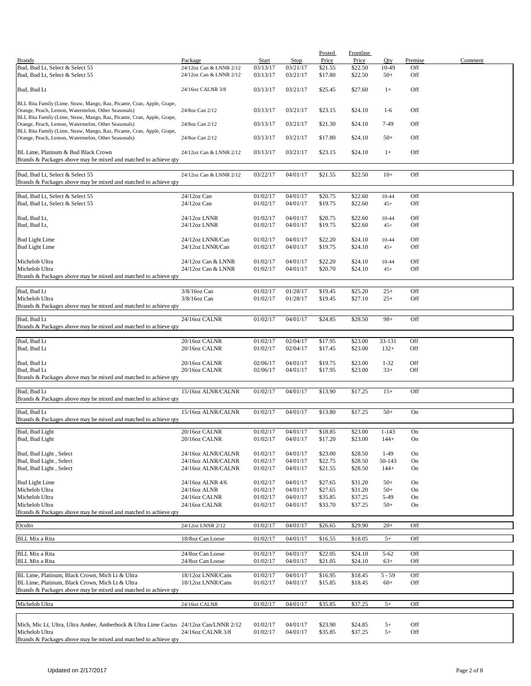|                                                                                                                              |                                      |          |          | <b>Posted</b> | Frontline |                   |         |         |
|------------------------------------------------------------------------------------------------------------------------------|--------------------------------------|----------|----------|---------------|-----------|-------------------|---------|---------|
| <b>Brands</b>                                                                                                                | Package                              | Start    | Stop     | Price         | Price     | Oty               | Premise | Comment |
| Bud, Bud Lt, Select & Select 55                                                                                              | 24/12oz Can & LNNR 2/12              | 03/13/17 | 03/21/17 | \$21.55       | \$22.50   | 10-49             | Off     |         |
| Bud, Bud Lt, Select & Select 55                                                                                              | 24/12oz Can & LNNR 2/12              | 03/13/17 | 03/21/17 | \$17.80       | \$22.50   | $50+$             | Off     |         |
|                                                                                                                              |                                      |          |          |               |           |                   |         |         |
| Bud, Bud Lt                                                                                                                  | 24/16oz CALNR 3/8                    | 03/13/17 | 03/21/17 | \$25.45       | \$27.60   | $1+$              | Off     |         |
|                                                                                                                              |                                      |          |          |               |           |                   |         |         |
| BLL Rita Family (Lime, Straw, Mango, Raz, Picante, Cran, Apple, Grape,                                                       |                                      |          |          |               |           |                   |         |         |
| Orange, Peach, Lemon, Watermelon, Other Seasonals)                                                                           | 24/8oz Can 2/12                      | 03/13/17 | 03/21/17 | \$23.15       | \$24.10   | $1-6$             | Off     |         |
| BLL Rita Family (Lime, Straw, Mango, Raz, Picante, Cran, Apple, Grape,                                                       |                                      |          |          |               |           |                   |         |         |
| Orange, Peach, Lemon, Watermelon, Other Seasonals)                                                                           | 24/8oz Can 2/12                      | 03/13/17 | 03/21/17 | \$21.30       | \$24.10   | 7-49              | Off     |         |
| BLL Rita Family (Lime, Straw, Mango, Raz, Picante, Cran, Apple, Grape,<br>Orange, Peach, Lemon, Watermelon, Other Seasonals) | 24/8oz Can 2/12                      | 03/13/17 | 03/21/17 | \$17.80       | \$24.10   | $50+$             | Off     |         |
|                                                                                                                              |                                      |          |          |               |           |                   |         |         |
| BL Lime, Platinum & Bud Black Crown                                                                                          | 24/12oz Can & LNNR 2/12              | 03/13/17 | 03/21/17 | \$23.15       | \$24.10   | $1+$              | Off     |         |
| Brands & Packages above may be mixed and matched to achieve qty                                                              |                                      |          |          |               |           |                   |         |         |
|                                                                                                                              |                                      |          |          |               |           |                   |         |         |
| Bud, Bud Lt, Select & Select 55                                                                                              | 24/12oz Can & LNNR 2/12              | 03/22/17 | 04/01/17 | \$21.55       | \$22.50   | $10+$             | Off     |         |
| Brands & Packages above may be mixed and matched to achieve qty                                                              |                                      |          |          |               |           |                   |         |         |
|                                                                                                                              |                                      |          |          |               |           |                   |         |         |
| Bud, Bud Lt, Select & Select 55                                                                                              | 24/12oz Can                          | 01/02/17 | 04/01/17 | \$20.75       | \$22.60   | $10 - 44$         | Off     |         |
| Bud, Bud Lt, Select & Select 55                                                                                              | 24/12oz Can                          | 01/02/17 | 04/01/17 | \$19.75       | \$22.60   | $45+$             | Off     |         |
|                                                                                                                              |                                      |          |          |               |           |                   |         |         |
| Bud, Bud Lt,                                                                                                                 | 24/12oz LNNR                         | 01/02/17 | 04/01/17 | \$20.75       | \$22.60   | 10-44             | Off     |         |
| Bud, Bud Lt,                                                                                                                 | 24/12oz LNNR                         | 01/02/17 | 04/01/17 | \$19.75       | \$22.60   | $45+$             | Off     |         |
|                                                                                                                              |                                      |          |          |               |           |                   |         |         |
| <b>Bud Light Lime</b>                                                                                                        | 24/12oz LNNR/Can                     | 01/02/17 | 04/01/17 | \$22.20       | \$24.10   | $10 - 44$         | Off     |         |
| <b>Bud Light Lime</b>                                                                                                        | 24/12oz LNNR/Can                     | 01/02/17 | 04/01/17 | \$19.75       | \$24.10   | $45+$             | Off     |         |
|                                                                                                                              |                                      |          |          |               |           |                   |         |         |
| Michelob Ultra                                                                                                               | 24/12oz Can & LNNR                   | 01/02/17 | 04/01/17 | \$22.20       | \$24.10   | 10-44             | Off     |         |
| Michelob Ultra                                                                                                               | 24/12oz Can & LNNR                   | 01/02/17 | 04/01/17 | \$20.70       | \$24.10   | $45+$             | Off     |         |
| Brands & Packages above may be mixed and matched to achieve qty                                                              |                                      |          |          |               |           |                   |         |         |
|                                                                                                                              |                                      |          |          |               |           |                   |         |         |
| Bud, Bud Lt                                                                                                                  | 3/8/16oz Can                         | 01/02/17 | 01/28/17 | \$19.45       | \$25.20   | $25+$             | Off     |         |
| Michelob Ultra                                                                                                               | 3/8/16oz Can                         | 01/02/17 | 01/28/17 | \$19.45       | \$27.10   | $25+$             | Off     |         |
| Brands & Packages above may be mixed and matched to achieve qty                                                              |                                      |          |          |               |           |                   |         |         |
| Bud, Bud Lt                                                                                                                  | 24/16oz CALNR                        | 01/02/17 | 04/01/17 | \$24.85       | \$28.50   | $98+$             | Off     |         |
|                                                                                                                              |                                      |          |          |               |           |                   |         |         |
| Brands & Packages above may be mixed and matched to achieve qty                                                              |                                      |          |          |               |           |                   |         |         |
| Bud, Bud Lt                                                                                                                  | 20/16oz CALNR                        | 01/02/17 | 02/04/17 | \$17.95       | \$23.00   | 33-131            | Off     |         |
| Bud, Bud Lt                                                                                                                  | 20/16oz CALNR                        | 01/02/17 | 02/04/17 | \$17.45       | \$23.00   | $132+$            | Off     |         |
|                                                                                                                              |                                      |          |          |               |           |                   |         |         |
| Bud, Bud Lt                                                                                                                  | 20/16oz CALNR                        | 02/06/17 | 04/01/17 | \$19.75       | \$23.00   | $1 - 32$          | Off     |         |
| Bud, Bud Lt                                                                                                                  | 20/16oz CALNR                        | 02/06/17 | 04/01/17 | \$17.95       | \$23.00   | $33+$             | Off     |         |
| Brands & Packages above may be mixed and matched to achieve qty                                                              |                                      |          |          |               |           |                   |         |         |
|                                                                                                                              |                                      |          |          |               |           |                   |         |         |
| Bud, Bud Lt                                                                                                                  | 15/16oz ALNR/CALNR                   | 01/02/17 | 04/01/17 | \$13.90       | \$17.25   | $15+$             | Off     |         |
| Brands & Packages above may be mixed and matched to achieve qty                                                              |                                      |          |          |               |           |                   |         |         |
|                                                                                                                              |                                      |          |          |               |           |                   |         |         |
| Bud, Bud Lt                                                                                                                  | 15/16oz ALNR/CALNR                   | 01/02/17 | 04/01/17 | \$13.80       | \$17.25   | $50+$             | On      |         |
| Brands & Packages above may be mixed and matched to achieve qty                                                              |                                      |          |          |               |           |                   |         |         |
| Bud, Bud Light                                                                                                               | 20/16oz CALNR                        | 01/02/17 | 04/01/17 | \$18.85       | \$23.00   | $1 - 143$         | On      |         |
| Bud, Bud Light                                                                                                               | 20/16oz CALNR                        | 01/02/17 | 04/01/17 | \$17.20       | \$23.00   | $144+$            | On      |         |
|                                                                                                                              |                                      |          |          |               |           |                   |         |         |
| Bud, Bud Light, Select                                                                                                       | 24/16oz ALNR/CALNR                   | 01/02/17 | 04/01/17 | \$23.00       | \$28.50   | $1-49$            | On      |         |
| Bud, Bud Light, Select                                                                                                       | 24/16oz ALNR/CALNR                   | 01/02/17 | 04/01/17 | \$22.75       | \$28.50   | 50-143            | On      |         |
| Bud, Bud Light, Select                                                                                                       | 24/16oz ALNR/CALNR                   | 01/02/17 | 04/01/17 | \$21.55       | \$28.50   | $144+$            | On      |         |
|                                                                                                                              |                                      |          |          |               |           |                   |         |         |
| <b>Bud Light Lime</b>                                                                                                        | 24/16oz ALNR 4/6                     | 01/02/17 | 04/01/17 | \$27.65       | \$31.20   | $50+$             | On      |         |
| Michelob Ultra                                                                                                               | 24/16oz ALNR                         | 01/02/17 | 04/01/17 | \$27.65       | \$31.20   | $50+$             | On      |         |
| Michelob Ultra                                                                                                               | 24/16oz CALNR                        | 01/02/17 | 04/01/17 | \$35.85       | \$37.25   | 5-49              | On      |         |
| Michelob Ultra                                                                                                               | 24/16oz CALNR                        | 01/02/17 | 04/01/17 | \$33.70       | \$37.25   | $50+$             | On      |         |
| Brands & Packages above may be mixed and matched to achieve qty                                                              |                                      |          |          |               |           |                   |         |         |
|                                                                                                                              |                                      |          |          |               |           |                   |         |         |
| Oculto                                                                                                                       | 24/12oz LNNR 2/12                    | 01/02/17 | 04/01/17 | \$26.65       | \$29.90   | $20+$             | Off     |         |
|                                                                                                                              |                                      |          |          |               |           |                   |         |         |
| <b>BLL Mix a Rita</b>                                                                                                        | 18/8oz Can Loose                     | 01/02/17 | 04/01/17 | \$16.55       | \$18.05   | $5+$              | Off     |         |
|                                                                                                                              |                                      |          |          |               | \$24.10   |                   | Off     |         |
| <b>BLL Mix a Rita</b>                                                                                                        | 24/8oz Can Loose<br>24/8oz Can Loose | 01/02/17 | 04/01/17 | \$22.05       |           | $5 - 62$<br>$63+$ | Off     |         |
| BLL Mix a Rita                                                                                                               |                                      | 01/02/17 | 04/01/17 | \$21.05       | \$24.10   |                   |         |         |
| BL Lime, Platinum, Black Crown, Mich Lt & Ultra                                                                              | 18/12oz LNNR/Cans                    | 01/02/17 | 04/01/17 | \$16.95       | \$18.45   | $5 - 59$          | Off     |         |
| BL Lime, Platinum, Black Crown, Mich Lt & Ultra                                                                              | 18/12oz LNNR/Cans                    | 01/02/17 | 04/01/17 | \$15.85       | \$18.45   | $60+$             | Off     |         |
| Brands & Packages above may be mixed and matched to achieve qty                                                              |                                      |          |          |               |           |                   |         |         |
|                                                                                                                              |                                      |          |          |               |           |                   |         |         |
| Michelob Ultra                                                                                                               | 24/16oz CALNR                        | 01/02/17 | 04/01/17 | \$35.85       | \$37.25   | $5+$              | Off     |         |
|                                                                                                                              |                                      |          |          |               |           |                   |         |         |
|                                                                                                                              |                                      |          |          |               |           |                   |         |         |
| Mich, Mic Lt, Ultra, Ultra Amber, Amberbock & Ultra Lime Cactus 24/12oz Can/LNNR 2/12                                        |                                      | 01/02/17 | 04/01/17 | \$23.90       | \$24.85   | $5+$              | Off     |         |
| Michelob Ultra                                                                                                               | 24/16oz CALNR 3/8                    | 01/02/17 | 04/01/17 | \$35.85       | \$37.25   | $5+$              | Off     |         |
| Brands & Packages above may be mixed and matched to achieve qty                                                              |                                      |          |          |               |           |                   |         |         |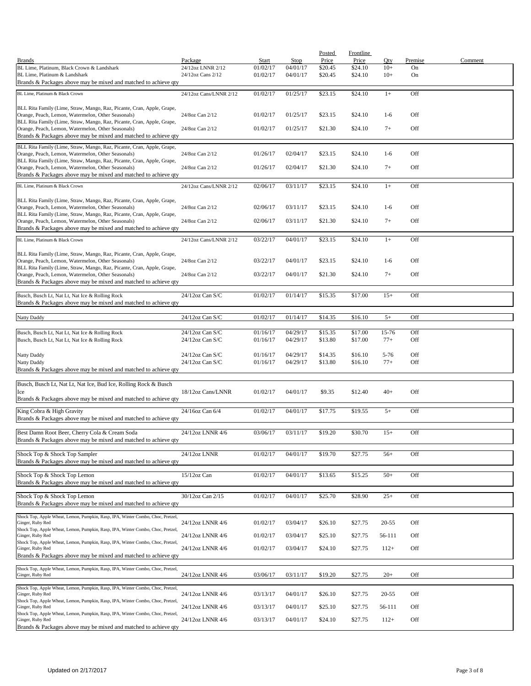|                                                                                                                                                                                                 |                                    |                      |                      | Posted             | <b>Frontline</b>   |                |               |         |
|-------------------------------------------------------------------------------------------------------------------------------------------------------------------------------------------------|------------------------------------|----------------------|----------------------|--------------------|--------------------|----------------|---------------|---------|
| <b>Brands</b><br>BL Lime, Platinum, Black Crown & Landshark                                                                                                                                     | Package<br>24/12oz LNNR 2/12       | Start<br>01/02/17    | Stop<br>04/01/17     | Price<br>\$20.45   | Price<br>\$24.10   | Qty<br>$10+$   | Premise<br>On | Comment |
| BL Lime, Platinum & Landshark<br>Brands & Packages above may be mixed and matched to achieve qty                                                                                                | 24/12oz Cans 2/12                  | 01/02/17             | 04/01/17             | \$20.45            | \$24.10            | $10+$          | On            |         |
| BL Lime, Platinum & Black Crown                                                                                                                                                                 | 24/12oz Cans/LNNR 2/12             | 01/02/17             | 01/25/17             | \$23.15            | \$24.10            | $1+$           | Off           |         |
| BLL Rita Family (Lime, Straw, Mango, Raz, Picante, Cran, Apple, Grape,<br>Orange, Peach, Lemon, Watermelon, Other Seasonals)                                                                    | 24/8oz Can 2/12                    | 01/02/17             | 01/25/17             | \$23.15            | \$24.10            | $1-6$          | Off           |         |
| BLL Rita Family (Lime, Straw, Mango, Raz, Picante, Cran, Apple, Grape,                                                                                                                          |                                    |                      |                      |                    |                    |                |               |         |
| Orange, Peach, Lemon, Watermelon, Other Seasonals)<br>Brands & Packages above may be mixed and matched to achieve qty                                                                           | 24/8oz Can 2/12                    | 01/02/17             | 01/25/17             | \$21.30            | \$24.10            | $7+$           | Off           |         |
| BLL Rita Family (Lime, Straw, Mango, Raz, Picante, Cran, Apple, Grape,<br>Orange, Peach, Lemon, Watermelon, Other Seasonals)                                                                    | 24/8oz Can 2/12                    | 01/26/17             | 02/04/17             | \$23.15            | \$24.10            | $1-6$          | Off           |         |
| BLL Rita Family (Lime, Straw, Mango, Raz, Picante, Cran, Apple, Grape,<br>Orange, Peach, Lemon, Watermelon, Other Seasonals)                                                                    | 24/8oz Can 2/12                    | 01/26/17             | 02/04/17             | \$21.30            | \$24.10            | $7+$           | Off           |         |
| Brands & Packages above may be mixed and matched to achieve qty                                                                                                                                 |                                    |                      |                      |                    |                    |                |               |         |
| BL Lime, Platinum & Black Crown                                                                                                                                                                 | 24/12oz Cans/LNNR 2/12             | 02/06/17             | 03/11/17             | \$23.15            | \$24.10            | $1+$           | Off           |         |
| BLL Rita Family (Lime, Straw, Mango, Raz, Picante, Cran, Apple, Grape,<br>Orange, Peach, Lemon, Watermelon, Other Seasonals)                                                                    | 24/8oz Can 2/12                    | 02/06/17             | 03/11/17             | \$23.15            | \$24.10            | $1-6$          | Off           |         |
| BLL Rita Family (Lime, Straw, Mango, Raz, Picante, Cran, Apple, Grape,<br>Orange, Peach, Lemon, Watermelon, Other Seasonals)<br>Brands & Packages above may be mixed and matched to achieve qty | 24/8oz Can 2/12                    | 02/06/17             | 03/11/17             | \$21.30            | \$24.10            | $7+$           | Off           |         |
| BL Lime. Platinum & Black Crown                                                                                                                                                                 | 24/12oz Cans/LNNR 2/12             | 03/22/17             | 04/01/17             | \$23.15            | \$24.10            | $1+$           | Off           |         |
| BLL Rita Family (Lime, Straw, Mango, Raz, Picante, Cran, Apple, Grape,                                                                                                                          |                                    |                      |                      |                    |                    |                |               |         |
| Orange, Peach, Lemon, Watermelon, Other Seasonals)<br>BLL Rita Family (Lime, Straw, Mango, Raz, Picante, Cran, Apple, Grape,                                                                    | 24/8oz Can 2/12                    | 03/22/17             | 04/01/17             | \$23.15            | \$24.10            | $1-6$          | Off           |         |
| Orange, Peach, Lemon, Watermelon, Other Seasonals)<br>Brands & Packages above may be mixed and matched to achieve qty                                                                           | 24/8oz Can 2/12                    | 03/22/17             | 04/01/17             | \$21.30            | \$24.10            | $7+$           | Off           |         |
| Busch, Busch Lt, Nat Lt, Nat Ice & Rolling Rock<br>Brands & Packages above may be mixed and matched to achieve qty                                                                              | 24/12oz Can S/C                    | 01/02/17             | 01/14/17             | \$15.35            | \$17.00            | $15+$          | Off           |         |
| Natty Daddy                                                                                                                                                                                     | 24/12oz Can S/C                    | 01/02/17             | 01/14/17             | \$14.35            | \$16.10            | $5+$           | Off           |         |
| Busch, Busch Lt, Nat Lt, Nat Ice & Rolling Rock<br>Busch, Busch Lt, Nat Lt, Nat Ice & Rolling Rock                                                                                              | 24/12oz Can S/C<br>24/12oz Can S/C | 01/16/17<br>01/16/17 | 04/29/17<br>04/29/17 | \$15.35<br>\$13.80 | \$17.00<br>\$17.00 | 15-76<br>$77+$ | Off<br>Off    |         |
| Natty Daddy                                                                                                                                                                                     | 24/12oz Can S/C                    | 01/16/17             | 04/29/17             | \$14.35            | \$16.10            | $5 - 76$       | Off           |         |
| Natty Daddy<br>Brands & Packages above may be mixed and matched to achieve qty                                                                                                                  | 24/12oz Can S/C                    | 01/16/17             | 04/29/17             | \$13.80            | \$16.10            | $77+$          | Off           |         |
|                                                                                                                                                                                                 |                                    |                      |                      |                    |                    |                |               |         |
| Busch, Busch Lt, Nat Lt, Nat Ice, Bud Ice, Rolling Rock & Busch<br>Ice<br>Brands & Packages above may be mixed and matched to achieve qty                                                       | 18/12oz Cans/LNNR                  | 01/02/17             | 04/01/17             | \$9.35             | \$12.40            | $40+$          | Off           |         |
|                                                                                                                                                                                                 |                                    |                      |                      |                    |                    |                |               |         |
| King Cobra & High Gravity<br>Brands & Packages above may be mixed and matched to achieve qty                                                                                                    | 24/16oz Can 6/4                    | 01/02/17             | 04/01/17             | \$17.75            | \$19.55            | $5+$           | Off           |         |
| Best Damn Root Beer, Cherry Cola & Cream Soda<br>Brands & Packages above may be mixed and matched to achieve qty                                                                                | 24/12oz LNNR 4/6                   | 03/06/17             | 03/11/17             | \$19.20            | \$30.70            | $15+$          | Off           |         |
| Shock Top & Shock Top Sampler                                                                                                                                                                   | 24/12oz LNNR                       | 01/02/17             | 04/01/17             | \$19.70            | \$27.75            | $56+$          | Off           |         |
| Brands & Packages above may be mixed and matched to achieve qty                                                                                                                                 |                                    |                      |                      |                    |                    |                |               |         |
| Shock Top & Shock Top Lemon<br>Brands & Packages above may be mixed and matched to achieve qty                                                                                                  | 15/12oz Can                        | 01/02/17             | 04/01/17             | \$13.65            | \$15.25            | $50+$          | Off           |         |
| Shock Top & Shock Top Lemon<br>Brands & Packages above may be mixed and matched to achieve qty                                                                                                  | 30/12oz Can 2/15                   | 01/02/17             | 04/01/17             | \$25.70            | \$28.90            | $25+$          | Off           |         |
| Shock Top, Apple Wheat, Lemon, Pumpkin, Rasp, IPA, Winter Combo, Choc, Pretzel,                                                                                                                 |                                    |                      |                      |                    |                    |                |               |         |
| Ginger, Ruby Red<br>Shock Top, Apple Wheat, Lemon, Pumpkin, Rasp, IPA, Winter Combo, Choc, Pretzel,                                                                                             | 24/12oz LNNR 4/6                   | 01/02/17             | 03/04/17             | \$26.10            | \$27.75            | 20-55          | Off           |         |
| Ginger, Ruby Red<br>Shock Top, Apple Wheat, Lemon, Pumpkin, Rasp, IPA, Winter Combo, Choc, Pretzel,                                                                                             | 24/12oz LNNR 4/6                   | 01/02/17             | 03/04/17             | \$25.10            | \$27.75            | 56-111         | Off           |         |
| Ginger, Ruby Red<br>Brands & Packages above may be mixed and matched to achieve qty                                                                                                             | 24/12oz LNNR 4/6                   | 01/02/17             | 03/04/17             | \$24.10            | \$27.75            | $112+$         | Off           |         |
| Shock Top, Apple Wheat, Lemon, Pumpkin, Rasp, IPA, Winter Combo, Choc, Pretzel,                                                                                                                 |                                    |                      |                      |                    |                    |                |               |         |
| Ginger, Ruby Red                                                                                                                                                                                | 24/12oz LNNR 4/6                   | 03/06/17             | 03/11/17             | \$19.20            | \$27.75            | $20+$          | Off           |         |
| Shock Top, Apple Wheat, Lemon, Pumpkin, Rasp, IPA, Winter Combo, Choc, Pretzel,<br>Ginger, Ruby Red                                                                                             | 24/12oz LNNR 4/6                   | 03/13/17             | 04/01/17             | \$26.10            | \$27.75            | 20-55          | Off           |         |
| Shock Top, Apple Wheat, Lemon, Pumpkin, Rasp, IPA, Winter Combo, Choc, Pretzel,<br>Ginger, Ruby Red                                                                                             | 24/12oz LNNR 4/6                   | 03/13/17             | 04/01/17             | \$25.10            | \$27.75            | 56-111         | Off           |         |
| Shock Top, Apple Wheat, Lemon, Pumpkin, Rasp, IPA, Winter Combo, Choc, Pretzel,<br>Ginger, Ruby Red                                                                                             | 24/12oz LNNR 4/6                   | 03/13/17             | 04/01/17             | \$24.10            | \$27.75            | $112+$         | Off           |         |
| Brands & Packages above may be mixed and matched to achieve qty                                                                                                                                 |                                    |                      |                      |                    |                    |                |               |         |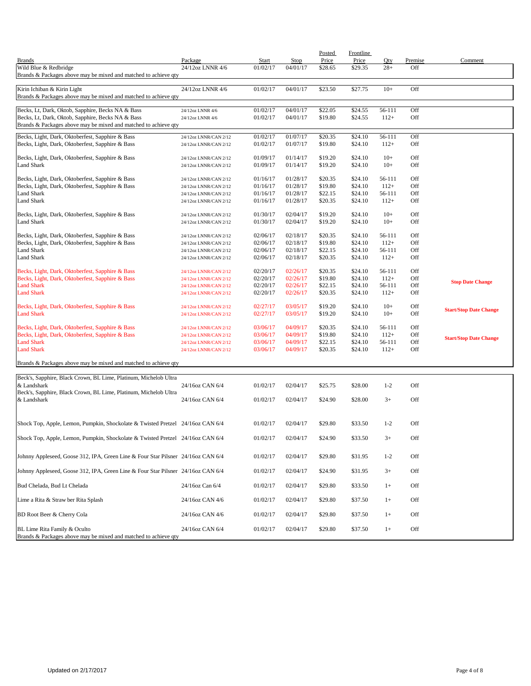|                                                                                                      |                                                |                      |                      | Posted             | Frontline          |                |            |                               |
|------------------------------------------------------------------------------------------------------|------------------------------------------------|----------------------|----------------------|--------------------|--------------------|----------------|------------|-------------------------------|
| <b>Brands</b>                                                                                        | Package                                        | Start                | Stop                 | Price              | Price              | Oty            | Premise    | Comment                       |
| Wild Blue & Redbridge                                                                                | 24/12oz LNNR 4/6                               | 01/02/17             | 04/01/17             | \$28.65            | \$29.35            | $28+$          | Off        |                               |
| Brands & Packages above may be mixed and matched to achieve qty                                      |                                                |                      |                      |                    |                    |                |            |                               |
| Kirin Ichiban & Kirin Light                                                                          | 24/12oz LNNR 4/6                               | 01/02/17             | 04/01/17             | \$23.50            | \$27.75            | $10+$          | Off        |                               |
| Brands & Packages above may be mixed and matched to achieve qty                                      |                                                |                      |                      |                    |                    |                |            |                               |
|                                                                                                      |                                                |                      |                      |                    |                    |                |            |                               |
| Becks, Lt, Dark, Oktob, Sapphire, Becks NA & Bass                                                    | 24/12oz LNNR 4/6                               | 01/02/17             | 04/01/17             | \$22.05            | \$24.55            | 56-111         | Off        |                               |
| Becks, Lt, Dark, Oktob, Sapphire, Becks NA & Bass                                                    | 24/12oz LNNR 4/6                               | 01/02/17             | 04/01/17             | \$19.80            | \$24.55            | $112+$         | Off        |                               |
| Brands & Packages above may be mixed and matched to achieve qty                                      |                                                |                      |                      |                    |                    |                |            |                               |
| Becks, Light, Dark, Oktoberfest, Sapphire & Bass                                                     | 24/12oz LNNR/CAN 2/12                          | 01/02/17             | 01/07/17             | \$20.35            | \$24.10            | 56-111         | Off        |                               |
| Becks, Light, Dark, Oktoberfest, Sapphire & Bass                                                     | 24/12oz LNNR/CAN 2/12                          | 01/02/17             | 01/07/17             | \$19.80            | \$24.10            | $112+$         | Off        |                               |
|                                                                                                      |                                                |                      |                      |                    |                    |                |            |                               |
| Becks, Light, Dark, Oktoberfest, Sapphire & Bass                                                     | 24/12oz LNNR/CAN 2/12                          | 01/09/17             | 01/14/17<br>01/14/17 | \$19.20            | \$24.10            | $10+$          | Off        |                               |
| Land Shark                                                                                           | 24/12oz LNNR/CAN 2/12                          | 01/09/17             |                      | \$19.20            | \$24.10            | $10+$          | Off        |                               |
| Becks, Light, Dark, Oktoberfest, Sapphire & Bass                                                     | 24/12oz LNNR/CAN 2/12                          | 01/16/17             | 01/28/17             | \$20.35            | \$24.10            | 56-111         | Off        |                               |
| Becks, Light, Dark, Oktoberfest, Sapphire & Bass                                                     | 24/12oz LNNR/CAN 2/12                          | 01/16/17             | 01/28/17             | \$19.80            | \$24.10            | $112+$         | Off        |                               |
| Land Shark                                                                                           | 24/12oz LNNR/CAN 2/12                          | 01/16/17             | 01/28/17             | \$22.15            | \$24.10            | 56-111         | Off        |                               |
| <b>Land Shark</b>                                                                                    | 24/12oz LNNR/CAN 2/12                          | 01/16/17             | 01/28/17             | \$20.35            | \$24.10            | $112+$         | Off        |                               |
|                                                                                                      |                                                |                      |                      |                    |                    |                |            |                               |
| Becks, Light, Dark, Oktoberfest, Sapphire & Bass<br>Land Shark                                       | 24/12oz LNNR/CAN 2/12<br>24/12oz LNNR/CAN 2/12 | 01/30/17<br>01/30/17 | 02/04/17<br>02/04/17 | \$19.20<br>\$19.20 | \$24.10<br>\$24.10 | $10+$<br>$10+$ | Off<br>Off |                               |
|                                                                                                      |                                                |                      |                      |                    |                    |                |            |                               |
| Becks, Light, Dark, Oktoberfest, Sapphire & Bass                                                     | 24/12oz LNNR/CAN 2/12                          | 02/06/17             | 02/18/17             | \$20.35            | \$24.10            | 56-111         | Off        |                               |
| Becks, Light, Dark, Oktoberfest, Sapphire & Bass                                                     | 24/12oz LNNR/CAN 2/12                          | 02/06/17             | 02/18/17             | \$19.80            | \$24.10            | $112+$         | Off        |                               |
| Land Shark                                                                                           | 24/12oz LNNR/CAN 2/12                          | 02/06/17             | 02/18/17             | \$22.15            | \$24.10            | 56-111         | Off        |                               |
| Land Shark                                                                                           | 24/12oz LNNR/CAN 2/12                          | 02/06/17             | 02/18/17             | \$20.35            | \$24.10            | $112+$         | Off        |                               |
|                                                                                                      |                                                | 02/20/17             | 02/26/17             | \$20.35            | \$24.10            | 56-111         | Off        |                               |
| Becks, Light, Dark, Oktoberfest, Sapphire & Bass<br>Becks, Light, Dark, Oktoberfest, Sapphire & Bass | 24/12oz LNNR/CAN 2/12<br>24/12oz LNNR/CAN 2/12 | 02/20/17             | 02/26/17             | \$19.80            | \$24.10            | $112+$         | Off        |                               |
| <b>Land Shark</b>                                                                                    | 24/12oz LNNR/CAN 2/12                          | 02/20/17             | 02/26/17             | \$22.15            | \$24.10            | 56-111         | Off        | <b>Stop Date Change</b>       |
| <b>Land Shark</b>                                                                                    | 24/12oz LNNR/CAN 2/12                          | 02/20/17             | 02/26/17             | \$20.35            | \$24.10            | $112+$         | Off        |                               |
|                                                                                                      |                                                |                      |                      |                    |                    |                |            |                               |
| Becks, Light, Dark, Oktoberfest, Sapphire & Bass                                                     | 24/12oz LNNR/CAN 2/12                          | 02/27/17             | 03/05/17             | \$19.20            | \$24.10            | $10+$          | Off        | <b>Start/Stop Date Change</b> |
| <b>Land Shark</b>                                                                                    | 24/12oz LNNR/CAN 2/12                          | 02/27/17             | 03/05/17             | \$19.20            | \$24.10            | $10+$          | Off        |                               |
| Becks, Light, Dark, Oktoberfest, Sapphire & Bass                                                     | 24/12oz LNNR/CAN 2/12                          | 03/06/17             | 04/09/17             | \$20.35            | \$24.10            | 56-111         | Off        |                               |
| Becks, Light, Dark, Oktoberfest, Sapphire & Bass                                                     | 24/12oz LNNR/CAN 2/12                          | 03/06/17             | 04/09/17             | \$19.80            | \$24.10            | $112+$         | Off        |                               |
| <b>Land Shark</b>                                                                                    | 24/12oz LNNR/CAN 2/12                          | 03/06/17             | 04/09/17             | \$22.15            | \$24.10            | 56-111         | Off        | <b>Start/Stop Date Change</b> |
| <b>Land Shark</b>                                                                                    | 24/12oz LNNR/CAN 2/12                          | 03/06/17             | 04/09/17             | \$20.35            | \$24.10            | $112+$         | Off        |                               |
|                                                                                                      |                                                |                      |                      |                    |                    |                |            |                               |
| Brands & Packages above may be mixed and matched to achieve qty                                      |                                                |                      |                      |                    |                    |                |            |                               |
| Beck's, Sapphire, Black Crown, BL Lime, Platinum, Michelob Ultra                                     |                                                |                      |                      |                    |                    |                |            |                               |
| & Landshark                                                                                          | 24/16oz CAN 6/4                                | 01/02/17             | 02/04/17             | \$25.75            | \$28.00            | $1 - 2$        | Off        |                               |
| Beck's, Sapphire, Black Crown, BL Lime, Platinum, Michelob Ultra                                     |                                                |                      |                      |                    |                    |                |            |                               |
| & Landshark                                                                                          | 24/16oz CAN 6/4                                | 01/02/17             | 02/04/17             | \$24.90            | \$28.00            | $3+$           | Off        |                               |
|                                                                                                      |                                                |                      |                      |                    |                    |                |            |                               |
|                                                                                                      |                                                |                      |                      |                    |                    |                |            |                               |
| Shock Top, Apple, Lemon, Pumpkin, Shockolate & Twisted Pretzel 24/16oz CAN 6/4                       |                                                | 01/02/17             | 02/04/17             | \$29.80            | \$33.50            | $1 - 2$        | Off        |                               |
| Shock Top, Apple, Lemon, Pumpkin, Shockolate & Twisted Pretzel 24/16oz CAN 6/4                       |                                                | 01/02/17             | 02/04/17             | \$24.90            | \$33.50            | $3+$           | Off        |                               |
|                                                                                                      |                                                |                      |                      |                    |                    |                |            |                               |
|                                                                                                      |                                                |                      |                      |                    |                    |                |            |                               |
| Johnny Appleseed, Goose 312, IPA, Green Line & Four Star Pilsner 24/16oz CAN 6/4                     |                                                | 01/02/17             | 02/04/17             | \$29.80            | \$31.95            | $1 - 2$        | Off        |                               |
| Johnny Appleseed, Goose 312, IPA, Green Line & Four Star Pilsner 24/16oz CAN 6/4                     |                                                | 01/02/17             | 02/04/17             | \$24.90            | \$31.95            | $3+$           | Off        |                               |
|                                                                                                      |                                                |                      |                      |                    |                    |                |            |                               |
| Bud Chelada, Bud Lt Chelada                                                                          | 24/16oz Can 6/4                                | 01/02/17             | 02/04/17             | \$29.80            | \$33.50            | $1+$           | Off        |                               |
|                                                                                                      |                                                |                      |                      |                    |                    |                |            |                               |
| Lime a Rita & Straw ber Rita Splash                                                                  | 24/16oz CAN 4/6                                | 01/02/17             | 02/04/17             | \$29.80            | \$37.50            | $1+$           | Off        |                               |
|                                                                                                      |                                                |                      |                      |                    |                    |                |            |                               |
| BD Root Beer & Cherry Cola                                                                           | 24/16oz CAN 4/6                                | 01/02/17             | 02/04/17             | \$29.80            | \$37.50            | $1+$           | Off        |                               |
| BL Lime Rita Family & Oculto                                                                         | 24/16oz CAN 6/4                                | 01/02/17             | 02/04/17             | \$29.80            | \$37.50            | $1+$           | Off        |                               |
| Brands & Packages above may be mixed and matched to achieve qty                                      |                                                |                      |                      |                    |                    |                |            |                               |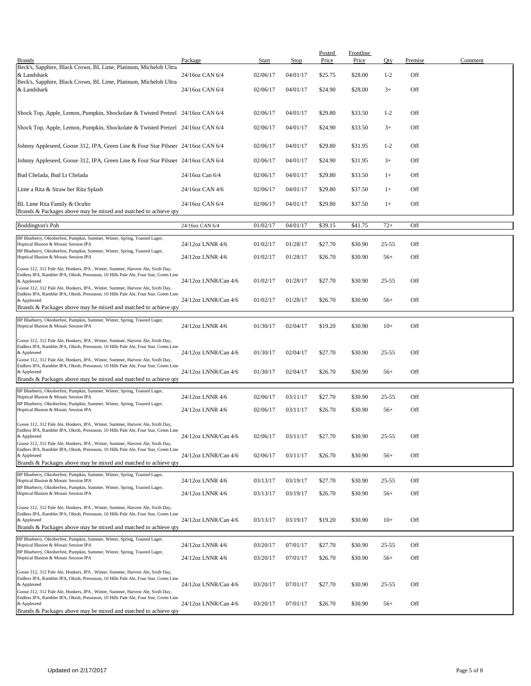| <b>Brands</b>                                                                                                                                                                         | Package              | Start    | <b>Stop</b> | Posted<br>Price | Frontline<br>Price | Qty       | Premise | Comment |
|---------------------------------------------------------------------------------------------------------------------------------------------------------------------------------------|----------------------|----------|-------------|-----------------|--------------------|-----------|---------|---------|
| Beck's, Sapphire, Black Crown, BL Lime, Platinum, Michelob Ultra<br>& Landshark                                                                                                       | 24/16oz CAN 6/4      | 02/06/17 | 04/01/17    | \$25.75         | \$28.00            | $1 - 2$   | Off     |         |
| Beck's, Sapphire, Black Crown, BL Lime, Platinum, Michelob Ultra<br>& Landshark                                                                                                       | 24/16oz CAN 6/4      | 02/06/17 | 04/01/17    | \$24.90         | \$28.00            | $3+$      | Off     |         |
|                                                                                                                                                                                       |                      |          |             |                 |                    |           |         |         |
| Shock Top, Apple, Lemon, Pumpkin, Shockolate & Twisted Pretzel 24/16oz CAN 6/4                                                                                                        |                      | 02/06/17 | 04/01/17    | \$29.80         | \$33.50            | $1 - 2$   | Off     |         |
| Shock Top, Apple, Lemon, Pumpkin, Shockolate & Twisted Pretzel 24/16oz CAN 6/4                                                                                                        |                      | 02/06/17 | 04/01/17    | \$24.90         | \$33.50            | $3+$      | Off     |         |
| Johnny Appleseed, Goose 312, IPA, Green Line & Four Star Pilsner 24/16oz CAN 6/4                                                                                                      |                      | 02/06/17 | 04/01/17    | \$29.80         | \$31.95            | $1 - 2$   | Off     |         |
| Johnny Appleseed, Goose 312, IPA, Green Line & Four Star Pilsner 24/16oz CAN 6/4                                                                                                      |                      | 02/06/17 | 04/01/17    | \$24.90         | \$31.95            | $3+$      | Off     |         |
| Bud Chelada, Bud Lt Chelada                                                                                                                                                           | 24/16oz Can 6/4      | 02/06/17 | 04/01/17    | \$29.80         | \$33.50            | $1+$      | Off     |         |
| Lime a Rita & Straw ber Rita Splash                                                                                                                                                   | 24/16oz CAN 4/6      | 02/06/17 | 04/01/17    | \$29.80         | \$37.50            | $1+$      | Off     |         |
| BL Lime Rita Family & Oculto<br>Brands & Packages above may be mixed and matched to achieve qty                                                                                       | 24/16oz CAN 6/4      | 02/06/17 | 04/01/17    | \$29.80         | \$37.50            | $1+$      | Off     |         |
| <b>Boddington's Pub</b>                                                                                                                                                               | 24/16oz CAN 6/4      | 01/02/17 | 04/01/17    | \$39.15         | \$41.75            | $72+$     | Off     |         |
| BP Blueberry, Oktoberfest, Pumpkin, Summer, Winter, Spring, Toasted Lager,<br>Hoptical Illusion & Mosaic Session IPA                                                                  | 24/12oz LNNR 4/6     | 01/02/17 | 01/28/17    | \$27.70         | \$30.90            | $25 - 55$ | Off     |         |
| BP Blueberry, Oktoberfest, Pumpkin, Summer, Winter, Spring, Toasted Lager,<br>Hoptical Illusion & Mosaic Session IPA                                                                  | 24/12oz LNNR 4/6     | 01/02/17 | 01/28/17    | \$26.70         | \$30.90            | $56+$     | Off     |         |
| Goose 312, 312 Pale Ale, Honkers, IPA, Winter, Summer, Harvest Ale, Sixth Day,                                                                                                        |                      |          |             |                 |                    |           |         |         |
| Endless IPA, Rambler IPA, Oktob, Preseason, 10 Hills Pale Ale, Four Star, Green Line<br>& Appleseed<br>Goose 312, 312 Pale Ale, Honkers, IPA, Winter, Summer, Harvest Ale, Sixth Day, | 24/12oz LNNR/Can 4/6 | 01/02/17 | 01/28/17    | \$27.70         | \$30.90            | $25 - 55$ | Off     |         |
| Endless IPA, Rambler IPA, Oktob, Preseason, 10 Hills Pale Ale, Four Star, Green Line<br>& Appleseed                                                                                   | 24/12oz LNNR/Can 4/6 | 01/02/17 | 01/28/17    | \$26.70         | \$30.90            | $56+$     | Off     |         |
| Brands & Packages above may be mixed and matched to achieve qty                                                                                                                       |                      |          |             |                 |                    |           |         |         |
| BP Blueberry, Oktoberfest, Pumpkin, Summer, Winter, Spring, Toasted Lager,<br>Hoptical Illusion & Mosaic Session IPA                                                                  | 24/12oz LNNR 4/6     | 01/30/17 | 02/04/17    | \$19.20         | \$30.90            | $10+$     | Off     |         |
| Goose 312, 312 Pale Ale, Honkers, IPA, Winter, Summer, Harvest Ale, Sixth Day,<br>Endless IPA, Rambler IPA, Oktob, Preseason, 10 Hills Pale Ale, Four Star, Green Line                |                      |          |             |                 |                    |           |         |         |
| & Appleseed<br>Goose 312, 312 Pale Ale, Honkers, IPA, Winter, Summer, Harvest Ale, Sixth Day,                                                                                         | 24/12oz LNNR/Can 4/6 | 01/30/17 | 02/04/17    | \$27.70         | \$30.90            | $25 - 55$ | Off     |         |
| Endless IPA, Rambler IPA, Oktob, Preseason, 10 Hills Pale Ale, Four Star, Green Line<br>& Appleseed                                                                                   | 24/12oz LNNR/Can 4/6 | 01/30/17 | 02/04/17    | \$26.70         | \$30.90            | $56+$     | Off     |         |
| Brands & Packages above may be mixed and matched to achieve qty<br>BP Blueberry, Oktoberfest, Pumpkin, Summer, Winter, Spring, Toasted Lager,                                         |                      |          |             |                 |                    |           |         |         |
| Hoptical Illusion & Mosaic Session IPA<br>BP Blueberry, Oktoberfest, Pumpkin, Summer, Winter, Spring, Toasted Lager,                                                                  | 24/12oz LNNR 4/6     | 02/06/17 | 03/11/17    | \$27.70         | \$30.90            | $25 - 55$ | Off     |         |
| Hoptical Illusion & Mosaic Session IPA                                                                                                                                                | 24/12oz LNNR 4/6     | 02/06/17 | 03/11/17    | \$26.70         | \$30.90            | $56+$     | Off     |         |
| Goose 312, 312 Pale Ale, Honkers, IPA, Winter, Summer, Harvest Ale, Sixth Day,<br>Endless IPA, Rambler IPA, Oktob, Preseason, 10 Hills Pale Ale, Four Star, Green Line                |                      |          |             |                 |                    |           |         |         |
| & Appleseed<br>Goose 312, 312 Pale Ale, Honkers, IPA, Winter, Summer, Harvest Ale, Sixth Day,                                                                                         | 24/12oz LNNR/Can 4/6 | 02/06/17 | 03/11/17    | \$27.70         | \$30.90            | $25 - 55$ | Off     |         |
| Endless IPA, Rambler IPA, Oktob, Preseason, 10 Hills Pale Ale, Four Star, Green Line<br>& Appleseed<br>Brands & Packages above may be mixed and matched to achieve gty                | 24/12oz LNNR/Can 4/6 | 02/06/17 | 03/11/17    | \$26.70         | \$30.90            | $56+$     | Off     |         |
| BP Blueberry, Oktoberfest, Pumpkin, Summer, Winter, Spring, Toasted Lager,                                                                                                            |                      |          |             |                 |                    |           |         |         |
| Hoptical Illusion & Mosaic Session IPA<br>BP Blueberry, Oktoberfest, Pumpkin, Summer, Winter, Spring, Toasted Lager,                                                                  | 24/12oz LNNR 4/6     | 03/13/17 | 03/19/17    | \$27.70         | \$30.90            | $25 - 55$ | Off     |         |
| Hoptical Illusion & Mosaic Session IPA                                                                                                                                                | 24/12oz LNNR 4/6     | 03/13/17 | 03/19/17    | \$26.70         | \$30.90            | $56+$     | Off     |         |
| Goose 312, 312 Pale Ale, Honkers, IPA, Winter, Summer, Harvest Ale, Sixth Day,<br>Endless IPA, Rambler IPA, Oktob, Preseason, 10 Hills Pale Ale, Four Star, Green Line<br>& Appleseed | 24/12oz LNNR/Can 4/6 | 03/13/17 | 03/19/17    | \$19.20         | \$30.90            | $10+$     | Off     |         |
| Brands & Packages above may be mixed and matched to achieve gty                                                                                                                       |                      |          |             |                 |                    |           |         |         |
| BP Blueberry, Oktoberfest, Pumpkin, Summer, Winter, Spring, Toasted Lager,<br>Hoptical Illusion & Mosaic Session IPA                                                                  | 24/12oz LNNR 4/6     | 03/20/17 | 07/01/17    | \$27.70         | \$30.90            | $25 - 55$ | Off     |         |
| BP Blueberry, Oktoberfest, Pumpkin, Summer, Winter, Spring, Toasted Lager,<br>Hoptical Illusion & Mosaic Session IPA                                                                  | 24/12oz LNNR 4/6     | 03/20/17 | 07/01/17    | \$26.70         | \$30.90            | $56+$     | Off     |         |
| Goose 312, 312 Pale Ale, Honkers, IPA, Winter, Summer, Harvest Ale, Sixth Day,                                                                                                        |                      |          |             |                 |                    |           |         |         |
| Endless IPA, Rambler IPA, Oktob, Preseason, 10 Hills Pale Ale, Four Star, Green Line<br>& Appleseed<br>Goose 312, 312 Pale Ale, Honkers, IPA, Winter, Summer, Harvest Ale, Sixth Day, | 24/12oz LNNR/Can 4/6 | 03/20/17 | 07/01/17    | \$27.70         | \$30.90            | $25 - 55$ | Off     |         |
| Endless IPA, Rambler IPA, Oktob, Preseason, 10 Hills Pale Ale, Four Star, Green Line<br>& Appleseed                                                                                   | 24/12oz LNNR/Can 4/6 | 03/20/17 | 07/01/17    | \$26.70         | \$30.90            | $56+$     | Off     |         |
| Brands & Packages above may be mixed and matched to achieve qty                                                                                                                       |                      |          |             |                 |                    |           |         |         |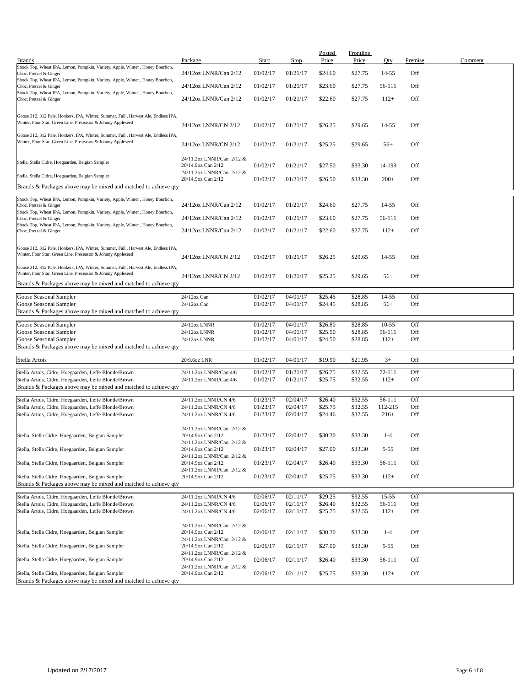| <b>Brands</b>                                                                                                                                     | Package                                                                      | <b>Start</b>         | <b>Stop</b>          | <b>Posted</b><br>Price | <b>Frontline</b><br>Price | Qty               | Premise    | Comment |
|---------------------------------------------------------------------------------------------------------------------------------------------------|------------------------------------------------------------------------------|----------------------|----------------------|------------------------|---------------------------|-------------------|------------|---------|
| Shock Top, Wheat IPA, Lemon, Pumpkin, Variety, Apple, Winter, Honey Bourbon,<br>Choc, Pretzel & Ginger                                            | 24/12oz LNNR/Can 2/12                                                        | 01/02/17             | 01/21/17             | \$24.60                | \$27.75                   | 14-55             | Off        |         |
| Shock Top, Wheat IPA, Lemon, Pumpkin, Variety, Apple, Winter, Honey Bourbon,                                                                      |                                                                              |                      |                      |                        |                           |                   |            |         |
| Choc, Pretzel & Ginger<br>Shock Top, Wheat IPA, Lemon, Pumpkin, Variety, Apple, Winter, Honey Bourbon,                                            | 24/12oz LNNR/Can 2/12                                                        | 01/02/17             | 01/21/17             | \$23.60                | \$27.75                   | 56-111            | Off        |         |
| Choc, Pretzel & Ginger                                                                                                                            | 24/12oz LNNR/Can 2/12                                                        | 01/02/17             | 01/21/17             | \$22.60                | \$27.75                   | $112+$            | Off        |         |
| Goose 312, 312 Pale, Honkers, IPA, Winter, Summer, Fall, Harvest Ale, Endless IPA,<br>Winter, Four Star, Green Line, Preseason & Johnny Appleseed | 24/12oz LNNR/CN 2/12                                                         | 01/02/17             | 01/21/17             | \$26.25                | \$29.65                   | 14-55             | Off        |         |
| Goose 312, 312 Pale, Honkers, IPA, Winter, Summer, Fall, Harvest Ale, Endless IPA,<br>Winter, Four Star, Green Line, Preseason & Johnny Appleseed | 24/12oz LNNR/CN 2/12                                                         | 01/02/17             | 01/21/17             | \$25.25                | \$29.65                   | $56+$             | Off        |         |
| Stella, Stella Cidre, Hoegaarden, Belgian Sampler                                                                                                 | 24/11.2oz LNNR/Can 2/12 &<br>20/14.9oz Can 2/12                              | 01/02/17             | 01/21/17             | \$27.50                | \$33.30                   | 14-199            | Off        |         |
| Stella, Stella Cidre, Hoegaarden, Belgian Sampler                                                                                                 | 24/11.2oz LNNR/Can 2/12 &<br>20/14.9oz Can 2/12                              | 01/02/17             | 01/21/17             | \$26.50                | \$33.30                   | $200+$            | Off        |         |
| Brands & Packages above may be mixed and matched to achieve qty                                                                                   |                                                                              |                      |                      |                        |                           |                   |            |         |
| Shock Top, Wheat IPA, Lemon, Pumpkin, Variety, Apple, Winter, Honey Bourbon,                                                                      | 24/12oz LNNR/Can 2/12                                                        | 01/02/17             | 01/21/17             | \$24.60                | \$27.75                   | 14-55             | Off        |         |
| Choc, Pretzel & Ginger<br>Shock Top, Wheat IPA, Lemon, Pumpkin, Variety, Apple, Winter, Honey Bourbon,                                            | 24/12oz LNNR/Can 2/12                                                        | 01/02/17             | 01/21/17             | \$23.60                | \$27.75                   | 56-111            | Off        |         |
| Choc, Pretzel & Ginger<br>Shock Top, Wheat IPA, Lemon, Pumpkin, Variety, Apple, Winter, Honey Bourbon,                                            |                                                                              |                      |                      |                        |                           |                   |            |         |
| Choc, Pretzel & Ginger                                                                                                                            | 24/12oz LNNR/Can 2/12                                                        | 01/02/17             | 01/21/17             | \$22.60                | \$27.75                   | $112+$            | Off        |         |
| Goose 312, 312 Pale, Honkers, IPA, Winter, Summer, Fall, Harvest Ale, Endless IPA,<br>Winter, Four Star, Green Line, Preseason & Johnny Appleseed | 24/12oz LNNR/CN 2/12                                                         | 01/02/17             | 01/21/17             | \$26.25                | \$29.65                   | 14-55             | Off        |         |
| Goose 312, 312 Pale, Honkers, IPA, Winter, Summer, Fall, Harvest Ale, Endless IPA,<br>Winter, Four Star, Green Line, Preseason & Johnny Appleseed | 24/12oz LNNR/CN 2/12                                                         | 01/02/17             | 01/21/17             | \$25.25                | \$29.65                   | $56+$             | Off        |         |
| Brands & Packages above may be mixed and matched to achieve qty                                                                                   |                                                                              |                      |                      |                        |                           |                   |            |         |
| Goose Seasonal Sampler                                                                                                                            | 24/12oz Can                                                                  | 01/02/17             | 04/01/17             | \$25.45                | \$28.85                   | 14-55             | Off        |         |
| Goose Seasonal Sampler<br>Brands & Packages above may be mixed and matched to achieve qty                                                         | 24/12oz Can                                                                  | 01/02/17             | 04/01/17             | \$24.45                | \$28.85                   | $56+$             | Off        |         |
|                                                                                                                                                   |                                                                              |                      |                      |                        |                           |                   |            |         |
| Goose Seasonal Sampler<br>Goose Seasonal Sampler                                                                                                  | 24/12oz LNNR<br>24/12oz LNNR                                                 | 01/02/17<br>01/02/17 | 04/01/17<br>04/01/17 | \$26.80<br>\$25.50     | \$28.85<br>\$28.85        | $10-55$<br>56-111 | Off<br>Off |         |
| Goose Seasonal Sampler                                                                                                                            | 24/12oz LNNR                                                                 | 01/02/17             | 04/01/17             | \$24.50                | \$28.85                   | $112+$            | Off        |         |
| Brands & Packages above may be mixed and matched to achieve qty                                                                                   |                                                                              |                      |                      |                        |                           |                   |            |         |
| Stella Artois                                                                                                                                     | 20/9.6oz LNR                                                                 | 01/02/17             | 04/01/17             | \$19.90                | \$21.95                   | $3+$              | Off        |         |
| Stella Artois, Cidre, Hoegaarden, Leffe Blonde/Brown                                                                                              | 24/11.2oz LNNR/Can 4/6                                                       | 01/02/17             | 01/21/17             | \$26.75                | \$32.55                   | 72-111            | Off        |         |
| Stella Artois, Cidre, Hoegaarden, Leffe Blonde/Brown                                                                                              | 24/11.2oz LNNR/Can 4/6                                                       | 01/02/17             | 01/21/17             | \$25.75                | \$32.55                   | $112+$            | Off        |         |
| Brands & Packages above may be mixed and matched to achieve qty                                                                                   |                                                                              |                      |                      |                        |                           |                   |            |         |
| Stella Artois, Cidre, Hoegaarden, Leffe Blonde/Brown                                                                                              | 24/11.2oz LNNR/CN 4/6                                                        | 01/23/17             | 02/04/17             | \$26.40                | \$32.55                   | 56-111            | Off        |         |
| Stella Artois, Cidre, Hoegaarden, Leffe Blonde/Brown                                                                                              | 24/11.2oz LNNR/CN 4/6                                                        | 01/23/17             | 02/04/17             | \$25.75                | \$32.55                   | 112-215           | Off        |         |
| Stella Artois, Cidre, Hoegaarden, Leffe Blonde/Brown                                                                                              | 24/11.2oz LNNR/CN 4/6                                                        | 01/23/17             | 02/04/17             | \$24.46                | \$32.55                   | $216+$            | Off        |         |
| Stella, Stella Cidre, Hoegaarden, Belgian Sampler                                                                                                 | 24/11.2oz LNNR/Can 2/12 &<br>20/14.9oz Can 2/12<br>24/11.2oz LNNR/Can 2/12 & | 01/23/17             | 02/04/17             | \$30.30                | \$33.30                   | $1 - 4$           | Off        |         |
| Stella, Stella Cidre, Hoegaarden, Belgian Sampler                                                                                                 | 20/14.9oz Can 2/12                                                           | 01/23/17             | 02/04/17             | \$27.00                | \$33.30                   | $5 - 55$          | Off        |         |
| Stella, Stella Cidre, Hoegaarden, Belgian Sampler                                                                                                 | 24/11.2oz LNNR/Can 2/12 &<br>20/14.9oz Can 2/12<br>24/11.2oz LNNR/Can 2/12 & | 01/23/17             | 02/04/17             | \$26.40                | \$33.30                   | 56-111            | Off        |         |
| Stella, Stella Cidre, Hoegaarden, Belgian Sampler<br>Brands & Packages above may be mixed and matched to achieve qty                              | 20/14.9oz Can 2/12                                                           | 01/23/17             | 02/04/17             | \$25.75                | \$33.30                   | $112+$            | Off        |         |
| Stella Artois, Cidre, Hoegaarden, Leffe Blonde/Brown                                                                                              |                                                                              | 02/06/17             | 02/11/17             | \$29.25                | \$32.55                   | $15 - 55$         | Off        |         |
| Stella Artois, Cidre, Hoegaarden, Leffe Blonde/Brown                                                                                              | 24/11.2oz LNNR/CN 4/6<br>24/11.2oz LNNR/CN 4/6                               | 02/06/17             | 02/11/17             | \$26.40                | \$32.55                   | 56-111            | Off        |         |
| Stella Artois, Cidre, Hoegaarden, Leffe Blonde/Brown                                                                                              | 24/11.2oz LNNR/CN 4/6                                                        | 02/06/17             | 02/11/17             | \$25.75                | \$32.55                   | $112+$            | Off        |         |
| Stella, Stella Cidre, Hoegaarden, Belgian Sampler                                                                                                 | 24/11.2oz LNNR/Can 2/12 &<br>20/14.9oz Can 2/12<br>24/11.2oz LNNR/Can 2/12 & | 02/06/17             | 02/11/17             | \$30.30                | \$33.30                   | $1 - 4$           | Off        |         |
| Stella, Stella Cidre, Hoegaarden, Belgian Sampler                                                                                                 | 20/14.9oz Can 2/12<br>24/11.2oz LNNR/Can 2/12 &                              | 02/06/17             | 02/11/17             | \$27.00                | \$33.30                   | $5 - 55$          | Off        |         |
| Stella, Stella Cidre, Hoegaarden, Belgian Sampler                                                                                                 | 20/14.9oz Can 2/12<br>24/11.2oz LNNR/Can 2/12 &                              | 02/06/17             | 02/11/17             | \$26.40                | \$33.30                   | 56-111            | Off        |         |
| Stella, Stella Cidre, Hoegaarden, Belgian Sampler<br>Brands & Packages above may be mixed and matched to achieve qty                              | 20/14.9oz Can 2/12                                                           | 02/06/17             | 02/11/17             | \$25.75                | \$33.30                   | $112+$            | Off        |         |
|                                                                                                                                                   |                                                                              |                      |                      |                        |                           |                   |            |         |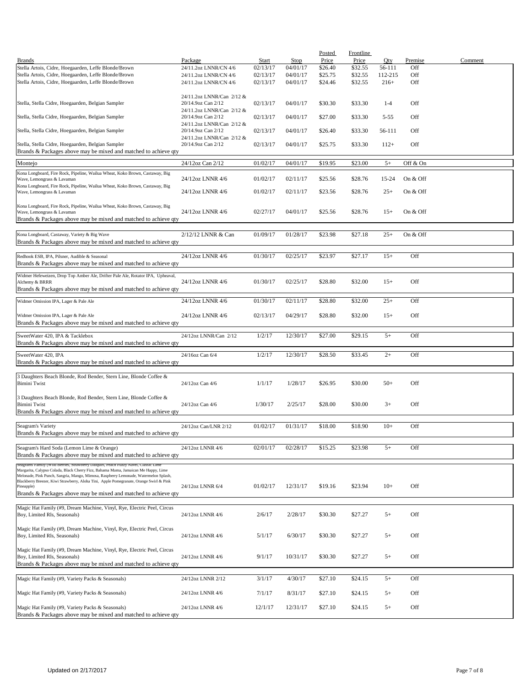|                                                                                         |                           |          |          | <b>Posted</b> | Frontline |          |          |         |
|-----------------------------------------------------------------------------------------|---------------------------|----------|----------|---------------|-----------|----------|----------|---------|
| <b>Brands</b>                                                                           | Package                   | Start    | Stop     | Price         | Price     | Qty      | Premise  | Comment |
| Stella Artois, Cidre, Hoegaarden, Leffe Blonde/Brown                                    | 24/11.2oz LNNR/CN 4/6     | 02/13/17 | 04/01/17 | \$26.40       | \$32.55   | 56-111   | Off      |         |
| Stella Artois, Cidre, Hoegaarden, Leffe Blonde/Brown                                    | 24/11.2oz LNNR/CN 4/6     | 02/13/17 | 04/01/17 | \$25.75       | \$32.55   | 112-215  | Off      |         |
| Stella Artois, Cidre, Hoegaarden, Leffe Blonde/Brown                                    | 24/11.2oz LNNR/CN 4/6     | 02/13/17 | 04/01/17 | \$24.46       | \$32.55   | $216+$   | Off      |         |
|                                                                                         |                           |          |          |               |           |          |          |         |
|                                                                                         | 24/11.2oz LNNR/Can 2/12 & |          |          |               |           |          |          |         |
| Stella, Stella Cidre, Hoegaarden, Belgian Sampler                                       | 20/14.9oz Can 2/12        | 02/13/17 | 04/01/17 | \$30.30       | \$33.30   | $1 - 4$  | Off      |         |
|                                                                                         | 24/11.2oz LNNR/Can 2/12 & |          |          |               |           |          |          |         |
| Stella, Stella Cidre, Hoegaarden, Belgian Sampler                                       | 20/14.9oz Can 2/12        | 02/13/17 | 04/01/17 | \$27.00       | \$33.30   | $5 - 55$ | Off      |         |
|                                                                                         | 24/11.2oz LNNR/Can 2/12 & |          |          |               |           |          |          |         |
| Stella, Stella Cidre, Hoegaarden, Belgian Sampler                                       | 20/14.9oz Can 2/12        | 02/13/17 | 04/01/17 | \$26.40       | \$33.30   | 56-111   | Off      |         |
|                                                                                         | 24/11.2oz LNNR/Can 2/12 & |          |          |               |           |          |          |         |
| Stella, Stella Cidre, Hoegaarden, Belgian Sampler                                       | 20/14.9oz Can 2/12        | 02/13/17 | 04/01/17 | \$25.75       | \$33.30   | $112+$   | Off      |         |
| Brands & Packages above may be mixed and matched to achieve qty                         |                           |          |          |               |           |          |          |         |
|                                                                                         |                           |          |          |               |           |          |          |         |
| Montejo                                                                                 | 24/12oz Can 2/12          | 01/02/17 | 04/01/17 | \$19.95       | \$23.00   | $5+$     | Off & On |         |
|                                                                                         |                           |          |          |               |           |          |          |         |
| Kona Longboard, Fire Rock, Pipeline, Wailua Wheat, Koko Brown, Castaway, Big            |                           |          | 02/11/17 | \$25.56       | \$28.76   | 15-24    | On & Off |         |
| Wave, Lemongrass & Lavaman                                                              | 24/12oz LNNR 4/6          | 01/02/17 |          |               |           |          |          |         |
| Kona Longboard, Fire Rock, Pipeline, Wailua Wheat, Koko Brown, Castaway, Big            | 24/12oz LNNR 4/6          | 01/02/17 | 02/11/17 | \$23.56       | \$28.76   | $25+$    | On & Off |         |
| Wave, Lemongrass & Lavaman                                                              |                           |          |          |               |           |          |          |         |
| Kona Longboard, Fire Rock, Pipeline, Wailua Wheat, Koko Brown, Castaway, Big            |                           |          |          |               |           |          |          |         |
| Wave, Lemongrass & Lavaman                                                              | 24/12oz LNNR 4/6          | 02/27/17 | 04/01/17 | \$25.56       | \$28.76   | $15+$    | On & Off |         |
| Brands & Packages above may be mixed and matched to achieve qty                         |                           |          |          |               |           |          |          |         |
|                                                                                         |                           |          |          |               |           |          |          |         |
|                                                                                         |                           |          |          |               |           |          |          |         |
| Kona Longboard, Castaway, Variety & Big Wave                                            | 2/12/12 LNNR & Can        | 01/09/17 | 01/28/17 | \$23.98       | \$27.18   | $25+$    | On & Off |         |
| Brands & Packages above may be mixed and matched to achieve qty                         |                           |          |          |               |           |          |          |         |
|                                                                                         |                           |          |          |               |           |          |          |         |
| Redhook ESB, IPA, Pilsner, Audible & Seasonal                                           | 24/12oz LNNR 4/6          | 01/30/17 | 02/25/17 | \$23.97       | \$27.17   | $15+$    | Off      |         |
| Brands & Packages above may be mixed and matched to achieve qty                         |                           |          |          |               |           |          |          |         |
|                                                                                         |                           |          |          |               |           |          |          |         |
| Widmer Hefeweizen, Drop Top Amber Ale, Drifter Pale Ale, Rotator IPA, Upheaval,         |                           |          |          |               |           |          |          |         |
| Alchemy & BRRR                                                                          | 24/12oz LNNR 4/6          | 01/30/17 | 02/25/17 | \$28.80       | \$32.00   | $15+$    | Off      |         |
| Brands & Packages above may be mixed and matched to achieve qty                         |                           |          |          |               |           |          |          |         |
| Widmer Omission IPA, Lager & Pale Ale                                                   |                           | 01/30/17 |          |               | \$32.00   | $25+$    | Off      |         |
|                                                                                         | 24/12oz LNNR 4/6          |          | 02/11/17 | \$28.80       |           |          |          |         |
|                                                                                         |                           |          |          |               |           |          |          |         |
| Widmer Omission IPA, Lager & Pale Ale                                                   | 24/12oz LNNR 4/6          | 02/13/17 | 04/29/17 | \$28.80       | \$32.00   | $15+$    | Off      |         |
| Brands & Packages above may be mixed and matched to achieve qty                         |                           |          |          |               |           |          |          |         |
|                                                                                         |                           |          |          |               |           |          |          |         |
| SweetWater 420, IPA & Tacklebox                                                         | 24/12oz LNNR/Can 2/12     | 1/2/17   | 12/30/17 | \$27.00       | \$29.15   | $5+$     | Off      |         |
| Brands & Packages above may be mixed and matched to achieve qty                         |                           |          |          |               |           |          |          |         |
| SweetWater 420, IPA                                                                     | 24/16oz Can 6/4           | 1/2/17   | 12/30/17 | \$28.50       | \$33.45   | $2+$     | Off      |         |
| Brands & Packages above may be mixed and matched to achieve qty                         |                           |          |          |               |           |          |          |         |
|                                                                                         |                           |          |          |               |           |          |          |         |
|                                                                                         |                           |          |          |               |           |          |          |         |
| 3 Daughters Beach Blonde, Rod Bender, Stern Line, Blonde Coffee &                       |                           |          |          |               |           |          |          |         |
| <b>Bimini Twist</b>                                                                     | 24/12oz Can 4/6           | 1/1/17   | 1/28/17  | \$26.95       | \$30.00   | $50+$    | Off      |         |
|                                                                                         |                           |          |          |               |           |          |          |         |
| 3 Daughters Beach Blonde, Rod Bender, Stern Line, Blonde Coffee &                       |                           |          |          |               |           |          |          |         |
| <b>Bimini Twist</b>                                                                     | 24/12oz Can 4/6           | 1/30/17  | 2/25/17  | \$28.00       | \$30.00   | $3+$     | Off      |         |
| Brands & Packages above may be mixed and matched to achieve qty                         |                           |          |          |               |           |          |          |         |
|                                                                                         |                           |          |          |               |           |          |          |         |
| Seagram's Variety                                                                       | 24/12oz Can/LNR 2/12      | 01/02/17 | 01/31/17 | \$18.00       | \$18.90   | $10+$    | Off      |         |
| Brands & Packages above may be mixed and matched to achieve qty                         |                           |          |          |               |           |          |          |         |
|                                                                                         |                           |          |          |               |           |          |          |         |
| Seagram's Hard Soda (Lemon Lime & Orange)                                               | 24/12oz LNNR 4/6          | 02/01/17 | 02/28/17 | \$15.25       | \$23.98   | $5+$     | Off      |         |
| Brands & Packages above may be mixed and matched to achieve qty                         |                           |          |          |               |           |          |          |         |
| Seagrams Family (Wild Bernes, Strawberry Daiquiri, Peach Fuzzy Navel, Classic Lim       |                           |          |          |               |           |          |          |         |
| Margarita, Calypso Colada, Black Cherry Fizz, Bahama Mama, Jamaican Me Happy, Lime      |                           |          |          |               |           |          |          |         |
| Melonade, Pink Punch, Sangria, Mango, Mimosa, Raspberry Lemonade, Watermelon Splash,    |                           |          |          |               |           |          |          |         |
| Blackberry Breezer, Kiwi Strawberry, Aloha Tini, Apple Pomegranate, Orange Swirl & Pink |                           |          |          |               |           |          |          |         |
| Pineapple)                                                                              | 24/12oz LNNR 6/4          | 01/02/17 | 12/31/17 | \$19.16       | \$23.94   | $10+$    | Off      |         |
| Brands & Packages above may be mixed and matched to achieve qty                         |                           |          |          |               |           |          |          |         |
|                                                                                         |                           |          |          |               |           |          |          |         |
| Magic Hat Family (#9, Dream Machine, Vinyl, Rye, Electric Peel, Circus                  |                           |          |          |               |           |          |          |         |
| Boy, Limited Rls, Seasonals)                                                            | 24/12oz LNNR 4/6          | 2/6/17   | 2/28/17  | \$30.30       | \$27.27   | $5+$     | Off      |         |
|                                                                                         |                           |          |          |               |           |          |          |         |
| Magic Hat Family (#9, Dream Machine, Vinyl, Rye, Electric Peel, Circus                  |                           |          |          |               |           |          |          |         |
| Boy, Limited Rls, Seasonals)                                                            | 24/12oz LNNR 4/6          | 5/1/17   | 6/30/17  | \$30.30       | \$27.27   | $5+$     | Off      |         |
|                                                                                         |                           |          |          |               |           |          |          |         |
| Magic Hat Family (#9, Dream Machine, Vinyl, Rye, Electric Peel, Circus                  |                           |          |          |               |           |          |          |         |
| Boy, Limited Rls, Seasonals)                                                            | 24/12oz LNNR 4/6          | 9/1/17   | 10/31/17 | \$30.30       | \$27.27   | $5+$     | Off      |         |
| Brands & Packages above may be mixed and matched to achieve qty                         |                           |          |          |               |           |          |          |         |
|                                                                                         |                           |          |          |               |           |          |          |         |
| Magic Hat Family (#9, Variety Packs & Seasonals)                                        | 24/12oz LNNR 2/12         | 3/1/17   | 4/30/17  | \$27.10       | \$24.15   | $5+$     | Off      |         |
|                                                                                         |                           |          |          |               |           |          |          |         |
| Magic Hat Family (#9, Variety Packs & Seasonals)                                        | 24/12oz LNNR 4/6          | 7/1/17   | 8/31/17  | \$27.10       | \$24.15   | $5+$     | Off      |         |
|                                                                                         |                           |          |          |               |           |          |          |         |
| Magic Hat Family (#9, Variety Packs & Seasonals)                                        | 24/12oz LNNR 4/6          | 12/1/17  | 12/31/17 | \$27.10       | \$24.15   | $5+$     | Off      |         |
| Brands & Packages above may be mixed and matched to achieve qty                         |                           |          |          |               |           |          |          |         |
|                                                                                         |                           |          |          |               |           |          |          |         |